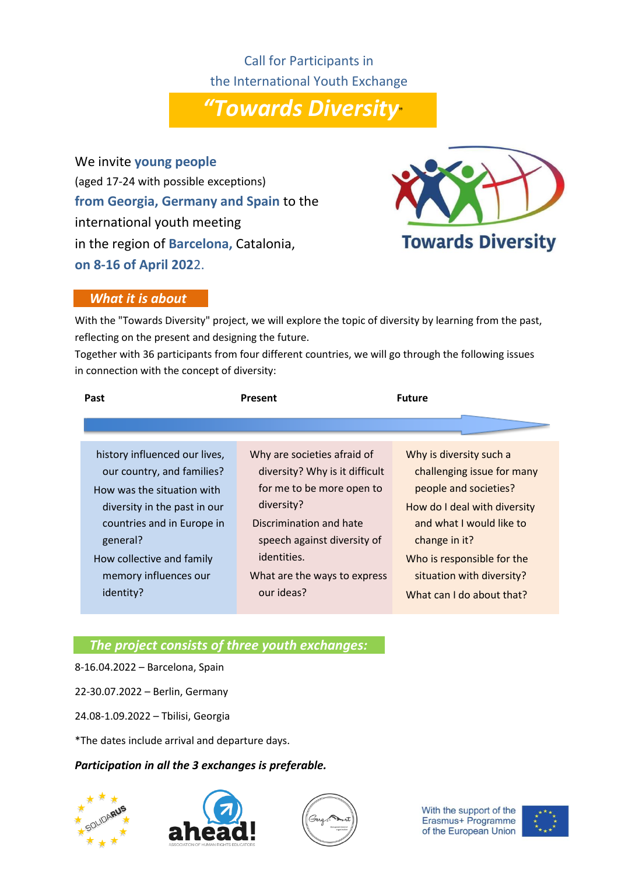Call for Participants in the International Youth Exchange

*"Towards Diversity*"

We invite **young people** (aged 17-24 with possible exceptions) **from Georgia, Germany and Spain** to the international youth meeting in the region of **Barcelona,** Catalonia, **on 8-16 of April 202**2.



### *What it is about*

With the "Towards Diversity" project, we will explore the topic of diversity by learning from the past, reflecting on the present and designing the future.

Together with 36 participants from four different countries, we will go through the following issues in connection with the concept of diversity:

| Past                          | Present                        | <b>Future</b>                |
|-------------------------------|--------------------------------|------------------------------|
|                               |                                |                              |
| history influenced our lives, | Why are societies afraid of    | Why is diversity such a      |
| our country, and families?    | diversity? Why is it difficult | challenging issue for many   |
| How was the situation with    | for me to be more open to      | people and societies?        |
| diversity in the past in our  | diversity?                     | How do I deal with diversity |
| countries and in Europe in    | Discrimination and hate        | and what I would like to     |
| general?                      | speech against diversity of    | change in it?                |
| How collective and family     | identities.                    | Who is responsible for the   |
| memory influences our         | What are the ways to express   | situation with diversity?    |
| identity?                     | our ideas?                     | What can I do about that?    |

# *The project consists of three youth exchanges:*

8-16.04.2022 – Barcelona, Spain

22-30.07.2022 – Berlin, Germany

24.08-1.09.2022 – Tbilisi, Georgia

\*The dates include arrival and departure days.

#### *Participation in all the 3 exchanges is preferable.*







With the support of the Erasmus+ Programme of the European Union

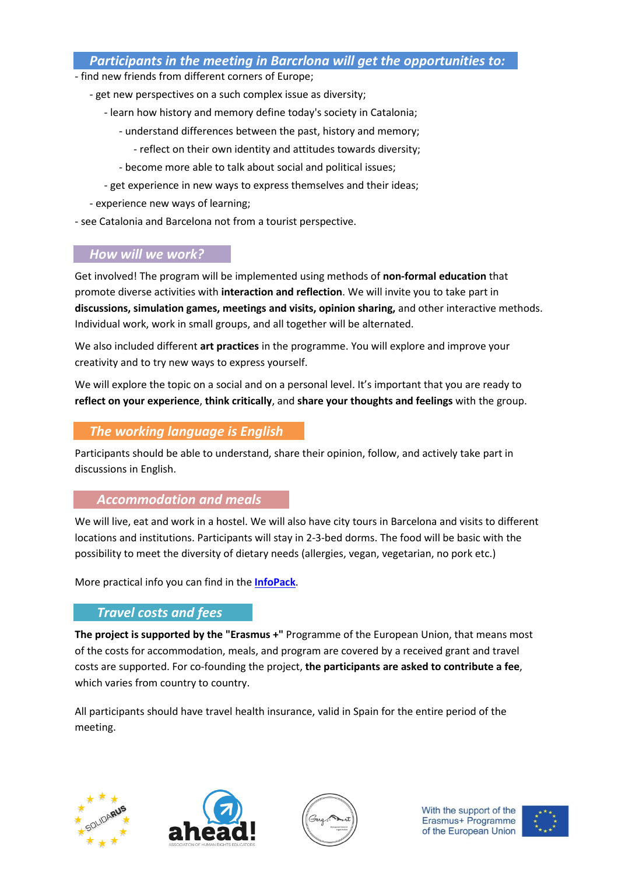## *Participants in the meeting in Barcrlona will get the opportunities to:*

- find new friends from different corners of Europe;
	- get new perspectives on a such complex issue as diversity;
		- learn how history and memory define today's society in Catalonia;
			- understand differences between the past, history and memory;
				- reflect on their own identity and attitudes towards diversity;
			- become more able to talk about social and political issues;
		- get experience in new ways to express themselves and their ideas;
	- experience new ways of learning;
- see Catalonia and Barcelona not from a tourist perspective.

# *How will we work?*

Get involved! The program will be implemented using methods of **non-formal education** that promote diverse activities with **interaction and reflection**. We will invite you to take part in **discussions, simulation games, meetings and visits, opinion sharing,** and other interactive methods. Individual work, work in small groups, and all together will be alternated.

We also included different **art practices** in the programme. You will explore and improve your creativity and to try new ways to express yourself.

We will explore the topic on a social and on a personal level. It's important that you are ready to **reflect on your experience**, **think critically**, and **share your thoughts and feelings** with the group.

# *The working language is English*

Participants should be able to understand, share their opinion, follow, and actively take part in discussions in English.

## *Accommodation and meals*

We will live, eat and work in a hostel. We will also have city tours in Barcelona and visits to different locations and institutions. Participants will stay in 2-3-bed dorms. The food will be basic with the possibility to meet the diversity of dietary needs (allergies, vegan, vegetarian, no pork etc.)

More practical info you can find in the **[InfoPack](https://drive.google.com/file/d/1JcHiJVfQ_StIk00mjpfsbDczx-n_hwA2/view?usp=sharing)**.

# *Travel costs and fees*

**The project is supported by the "Erasmus +"** Programme of the European Union, that means most of the costs for accommodation, meals, and program are covered by a received grant and travel costs are supported. For co-founding the project, **the participants are asked to contribute a fee**, which varies from country to country.

All participants should have travel health insurance, valid in Spain for the entire period of the meeting.